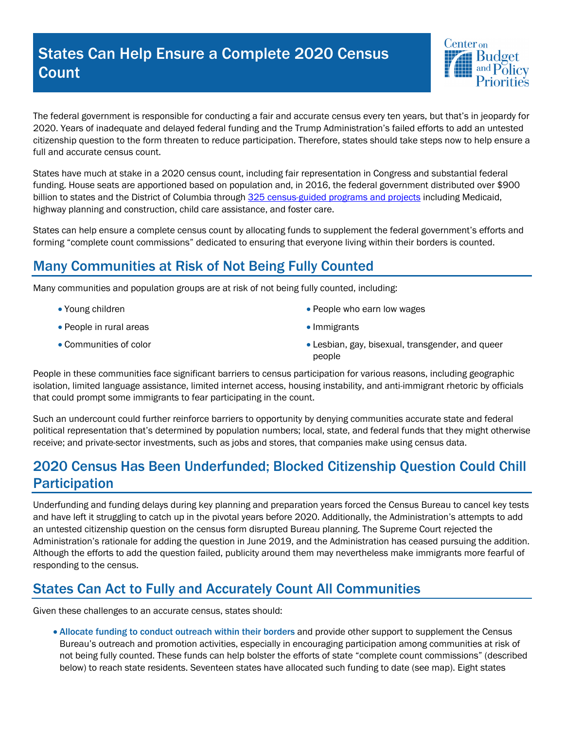## States Can Help Ensure a Complete 2020 Census **Count**



The federal government is responsible for conducting a fair and accurate census every ten years, but that's in jeopardy for 2020. Years of inadequate and delayed federal funding and the Trump Administration's failed efforts to add an untested citizenship question to the form threaten to reduce participation. Therefore, states should take steps now to help ensure a full and accurate census count.

States have much at stake in a 2020 census count, including fair representation in Congress and substantial federal funding. House seats are apportioned based on population and, in 2016, the federal government distributed over \$900 billion to states and the District of Columbia through 325 census-guided programs and projects including Medicaid, highway planning and construction, child care assistance, and foster care.

States can help ensure a complete census count by allocating funds to supplement the federal government's efforts and forming "complete count commissions" dedicated to ensuring that everyone living within their borders is counted.

## Many Communities at Risk of Not Being Fully Counted

Many communities and population groups are at risk of not being fully counted, including:

- Young children
- People in rural areas
- Communities of color
- People who earn low wages
- Immigrants
- Lesbian, gay, bisexual, transgender, and queer people

People in these communities face significant barriers to census participation for various reasons, including geographic isolation, limited language assistance, limited internet access, housing instability, and anti-immigrant rhetoric by officials that could prompt some immigrants to fear participating in the count.

Such an undercount could further reinforce barriers to opportunity by denying communities accurate state and federal political representation that's determined by population numbers; local, state, and federal funds that they might otherwise receive; and private-sector investments, such as jobs and stores, that companies make using census data.

## 2020 Census Has Been Underfunded; Blocked Citizenship Question Could Chill **Participation**

Underfunding and funding delays during key planning and preparation years forced the Census Bureau to cancel key tests and have left it struggling to catch up in the pivotal years before 2020. Additionally, the Administration's attempts to add an untested citizenship question on the census form disrupted Bureau planning. The Supreme Court rejected the Administration's rationale for adding the question in June 2019, and the Administration has ceased pursuing the addition. Although the efforts to add the question failed, publicity around them may nevertheless make immigrants more fearful of responding to the census.

## States Can Act to Fully and Accurately Count All Communities

Given these challenges to an accurate census, states should:

• Allocate funding to conduct outreach within their borders and provide other support to supplement the Census Bureau's outreach and promotion activities, especially in encouraging participation among communities at risk of not being fully counted. These funds can help bolster the efforts of state "complete count commissions" (described below) to reach state residents. Seventeen states have allocated such funding to date (see map). Eight states